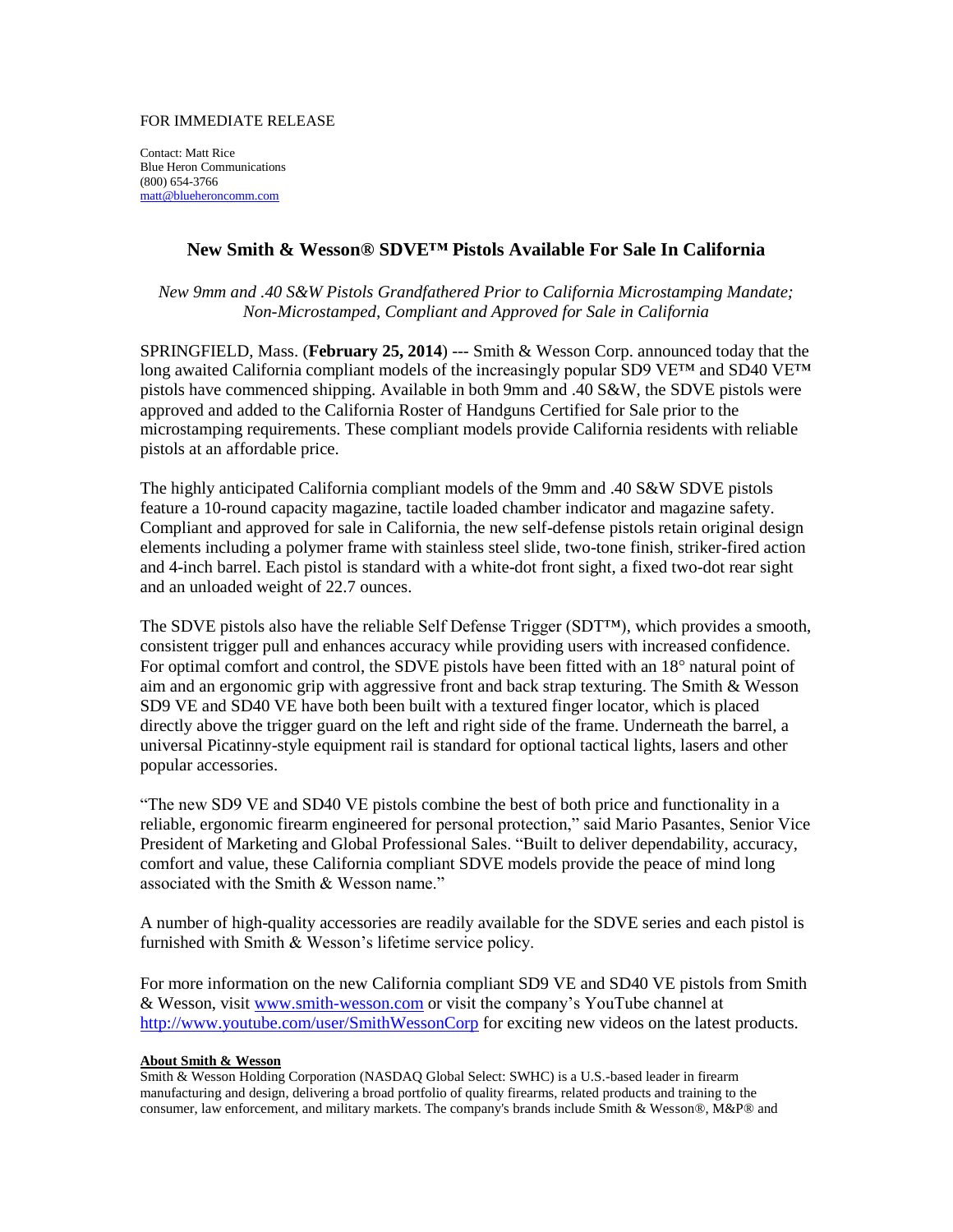## FOR IMMEDIATE RELEASE

Contact: Matt Rice Blue Heron Communications (800) 654-3766 [matt@blueheroncomm.com](mailto:gary@blueheroncomm.com)

## **New Smith & Wesson® SDVE™ Pistols Available For Sale In California**

*New 9mm and .40 S&W Pistols Grandfathered Prior to California Microstamping Mandate; Non-Microstamped, Compliant and Approved for Sale in California*

SPRINGFIELD, Mass. (**February 25, 2014**) --- Smith & Wesson Corp. announced today that the long awaited California compliant models of the increasingly popular SD9 VE<sup>™</sup> and SD40 VE<sup>™</sup> pistols have commenced shipping. Available in both 9mm and .40 S&W, the SDVE pistols were approved and added to the California Roster of Handguns Certified for Sale prior to the microstamping requirements. These compliant models provide California residents with reliable pistols at an affordable price.

The highly anticipated California compliant models of the 9mm and .40 S&W SDVE pistols feature a 10-round capacity magazine, tactile loaded chamber indicator and magazine safety. Compliant and approved for sale in California, the new self-defense pistols retain original design elements including a polymer frame with stainless steel slide, two-tone finish, striker-fired action and 4-inch barrel. Each pistol is standard with a white-dot front sight, a fixed two-dot rear sight and an unloaded weight of 22.7 ounces.

The SDVE pistols also have the reliable Self Defense Trigger (SDT™), which provides a smooth, consistent trigger pull and enhances accuracy while providing users with increased confidence. For optimal comfort and control, the SDVE pistols have been fitted with an 18° natural point of aim and an ergonomic grip with aggressive front and back strap texturing. The Smith & Wesson SD9 VE and SD40 VE have both been built with a textured finger locator, which is placed directly above the trigger guard on the left and right side of the frame. Underneath the barrel, a universal Picatinny-style equipment rail is standard for optional tactical lights, lasers and other popular accessories.

"The new SD9 VE and SD40 VE pistols combine the best of both price and functionality in a reliable, ergonomic firearm engineered for personal protection," said Mario Pasantes, Senior Vice President of Marketing and Global Professional Sales. "Built to deliver dependability, accuracy, comfort and value, these California compliant SDVE models provide the peace of mind long associated with the Smith & Wesson name."

A number of high-quality accessories are readily available for the SDVE series and each pistol is furnished with Smith & Wesson's lifetime service policy.

For more information on the new California compliant SD9 VE and SD40 VE pistols from Smith & Wesson, visit [www.smith-wesson.com](http://www.smith-wesson.com/) or visit the company's YouTube channel at <http://www.youtube.com/user/SmithWessonCorp> for exciting new videos on the latest products.

## **About Smith & Wesson**

Smith & Wesson Holding Corporation (NASDAQ Global Select: SWHC) is a U.S.-based leader in firearm manufacturing and design, delivering a broad portfolio of quality firearms, related products and training to the consumer, law enforcement, and military markets. The company's brands include Smith & Wesson®, M&P® and